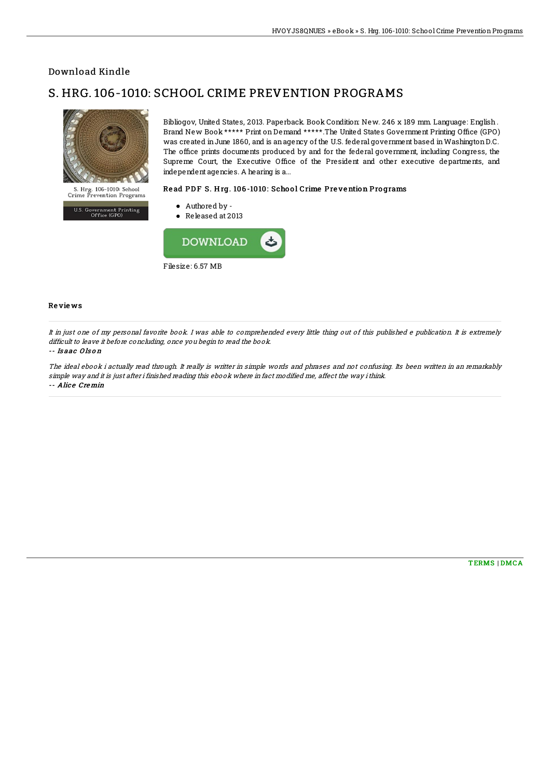## Download Kindle

# S. HRG. 106-1010: SCHOOL CRIME PREVENTION PROGRAMS



U.S. Government Printing<br>Office (GPO)

was created inJune 1860, and is anagency of the U.S. federal government based inWashingtonD.C. The office prints documents produced by and for the federal government, including Congress, the Supreme Court, the Executive Office of the President and other executive departments, and independent agencies. A hearing is a...

### Read PDF S. Hrg. 106-1010: School Crime Prevention Programs

Bibliogov, United States, 2013. Paperback. Book Condition: New. 246 x 189 mm. Language: English . Brand New Book \*\*\*\*\* Print on Demand \*\*\*\*\*.The United States Government Printing Office (GPO)

- Authored by -
- Released at 2013



#### Re vie ws

It in just one of my personal favorite book. I was able to comprehended every little thing out of this published <sup>e</sup> publication. It is extremely difficult to leave it before concluding, once you begin to read the book.

#### -- Is aac O ls o <sup>n</sup>

The ideal ebook i actually read through. It really is writter in simple words and phrases and not confusing. Its been written in an remarkably simple way and it is just after i finished reading this ebook where in fact modified me, affect the way ithink. -- Alice Cremin